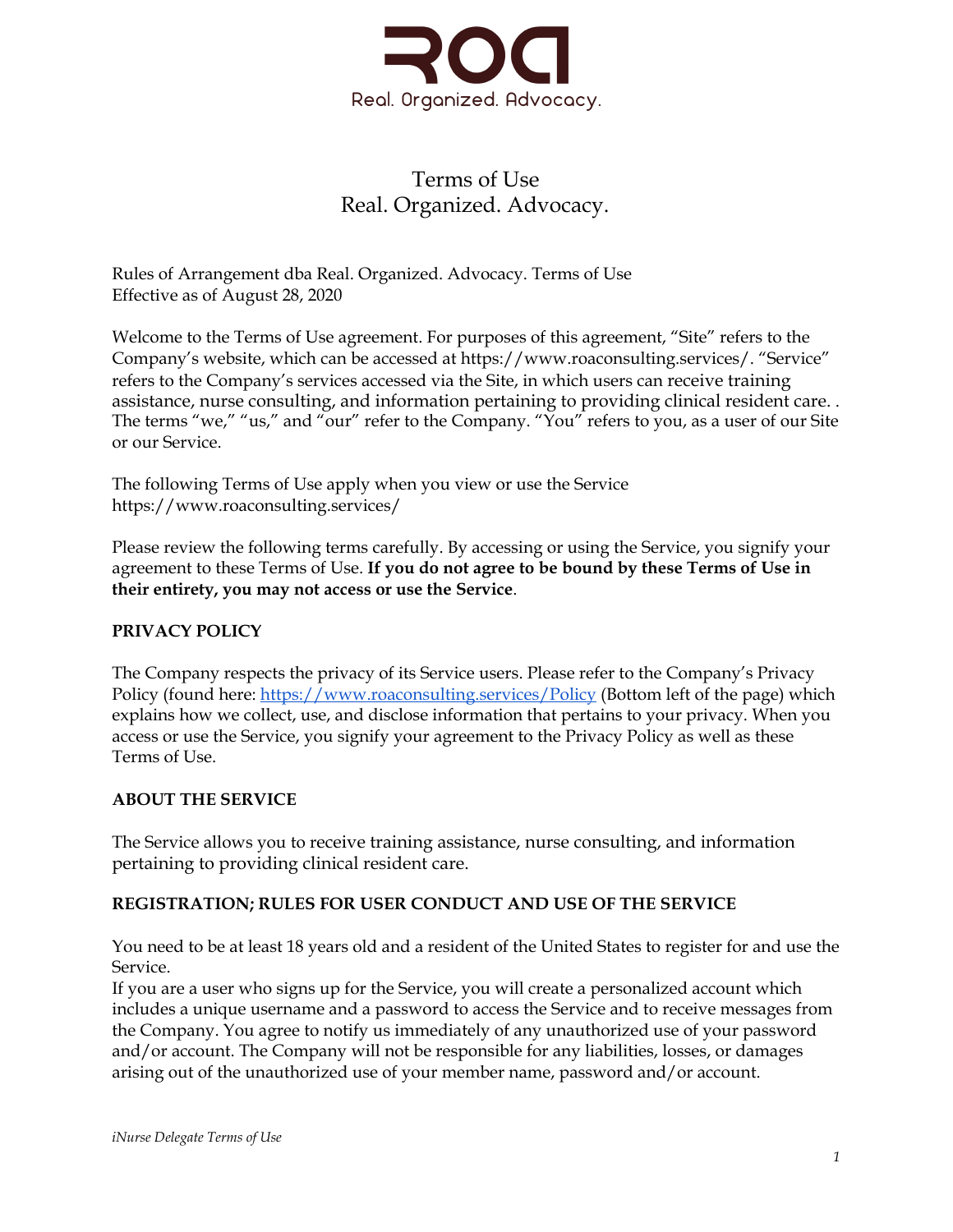

# Terms of Use Real. Organized. Advocacy.

Rules of Arrangement dba Real. Organized. Advocacy. Terms of Use Effective as of August 28, 2020

Welcome to the Terms of Use agreement. For purposes of this agreement, "Site" refers to the Company's website, which can be accessed at https://www.roaconsulting.services/. "Service" refers to the Company's services accessed via the Site, in which users can receive training assistance, nurse consulting, and information pertaining to providing clinical resident care. . The terms "we," "us," and "our" refer to the Company. "You" refers to you, as a user of our Site or our Service.

The following Terms of Use apply when you view or use the Service https://www.roaconsulting.services/

Please review the following terms carefully. By accessing or using the Service, you signify your agreement to these Terms of Use. **If you do not agree to be bound by these Terms of Use in their entirety, you may not access or use the Service**.

# **PRIVACY POLICY**

The Company respects the privacy of its Service users. Please refer to the Company's Privacy Policy (found here: [https://www.roaconsulting.services/Policy](https://www.inursedelegate.com/Policy) (Bottom left of the page) which explains how we collect, use, and disclose information that pertains to your privacy. When you access or use the Service, you signify your agreement to the Privacy Policy as well as these Terms of Use.

## **ABOUT THE SERVICE**

The Service allows you to receive training assistance, nurse consulting, and information pertaining to providing clinical resident care.

## **REGISTRATION; RULES FOR USER CONDUCT AND USE OF THE SERVICE**

You need to be at least 18 years old and a resident of the United States to register for and use the Service.

If you are a user who signs up for the Service, you will create a personalized account which includes a unique username and a password to access the Service and to receive messages from the Company. You agree to notify us immediately of any unauthorized use of your password and/or account. The Company will not be responsible for any liabilities, losses, or damages arising out of the unauthorized use of your member name, password and/or account.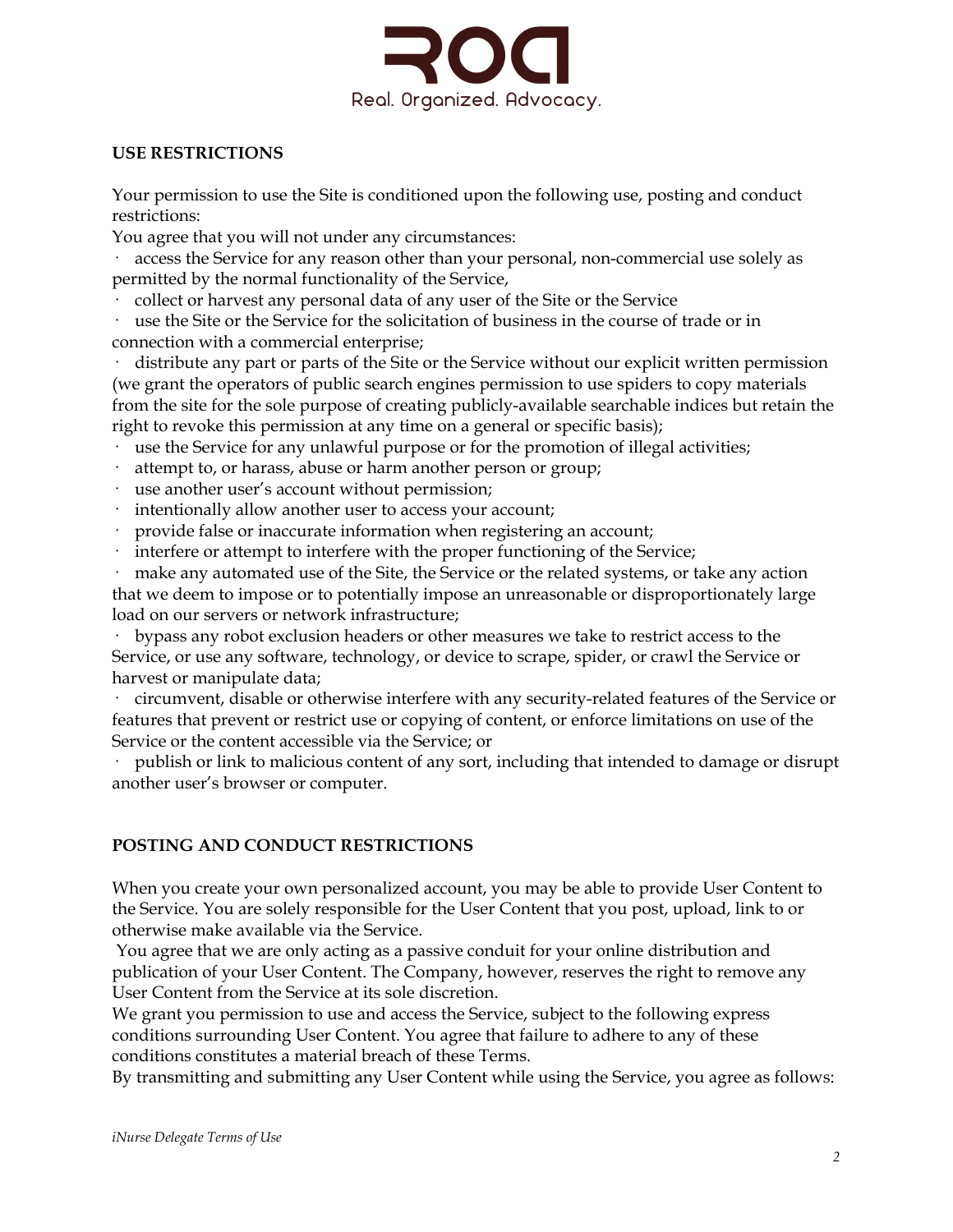

#### **USE RESTRICTIONS**

Your permission to use the Site is conditioned upon the following use, posting and conduct restrictions:

You agree that you will not under any circumstances:

· access the Service for any reason other than your personal, non-commercial use solely as permitted by the normal functionality of the Service,

· collect or harvest any personal data of any user of the Site or the Service

use the Site or the Service for the solicitation of business in the course of trade or in connection with a commercial enterprise;

distribute any part or parts of the Site or the Service without our explicit written permission (we grant the operators of public search engines permission to use spiders to copy materials from the site for the sole purpose of creating publicly-available searchable indices but retain the right to revoke this permission at any time on a general or specific basis);

· use the Service for any unlawful purpose or for the promotion of illegal activities;

- attempt to, or harass, abuse or harm another person or group;
- use another user's account without permission;
- intentionally allow another user to access your account;
- · provide false or inaccurate information when registering an account;
- interfere or attempt to interfere with the proper functioning of the Service;

make any automated use of the Site, the Service or the related systems, or take any action that we deem to impose or to potentially impose an unreasonable or disproportionately large load on our servers or network infrastructure;

bypass any robot exclusion headers or other measures we take to restrict access to the Service, or use any software, technology, or device to scrape, spider, or crawl the Service or harvest or manipulate data;

· circumvent, disable or otherwise interfere with any security-related features of the Service or features that prevent or restrict use or copying of content, or enforce limitations on use of the Service or the content accessible via the Service; or

publish or link to malicious content of any sort, including that intended to damage or disrupt another user's browser or computer.

## **POSTING AND CONDUCT RESTRICTIONS**

When you create your own personalized account, you may be able to provide User Content to the Service. You are solely responsible for the User Content that you post, upload, link to or otherwise make available via the Service.

You agree that we are only acting as a passive conduit for your online distribution and publication of your User Content. The Company, however, reserves the right to remove any User Content from the Service at its sole discretion.

We grant you permission to use and access the Service, subject to the following express conditions surrounding User Content. You agree that failure to adhere to any of these conditions constitutes a material breach of these Terms.

By transmitting and submitting any User Content while using the Service, you agree as follows: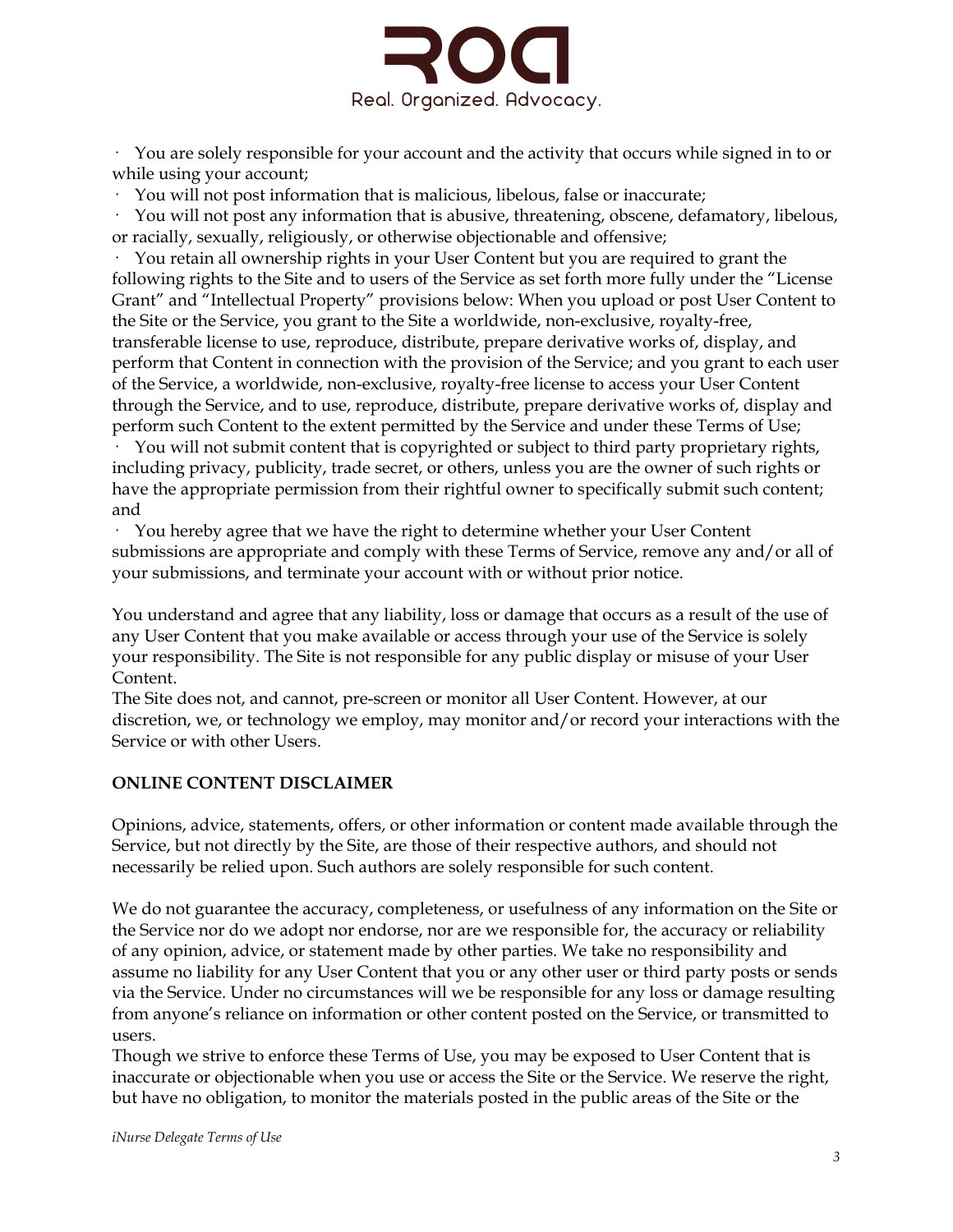

· You are solely responsible for your account and the activity that occurs while signed in to or while using your account;

· You will not post information that is malicious, libelous, false or inaccurate;

· You will not post any information that is abusive, threatening, obscene, defamatory, libelous, or racially, sexually, religiously, or otherwise objectionable and offensive;

· You retain all ownership rights in your User Content but you are required to grant the following rights to the Site and to users of the Service as set forth more fully under the "License Grant" and "Intellectual Property" provisions below: When you upload or post User Content to the Site or the Service, you grant to the Site a worldwide, non-exclusive, royalty-free, transferable license to use, reproduce, distribute, prepare derivative works of, display, and perform that Content in connection with the provision of the Service; and you grant to each user of the Service, a worldwide, non-exclusive, royalty-free license to access your User Content through the Service, and to use, reproduce, distribute, prepare derivative works of, display and perform such Content to the extent permitted by the Service and under these Terms of Use;

· You will not submit content that is copyrighted or subject to third party proprietary rights, including privacy, publicity, trade secret, or others, unless you are the owner of such rights or have the appropriate permission from their rightful owner to specifically submit such content; and

· You hereby agree that we have the right to determine whether your User Content submissions are appropriate and comply with these Terms of Service, remove any and/or all of your submissions, and terminate your account with or without prior notice.

You understand and agree that any liability, loss or damage that occurs as a result of the use of any User Content that you make available or access through your use of the Service is solely your responsibility. The Site is not responsible for any public display or misuse of your User Content.

The Site does not, and cannot, pre-screen or monitor all User Content. However, at our discretion, we, or technology we employ, may monitor and/or record your interactions with the Service or with other Users.

# **ONLINE CONTENT DISCLAIMER**

Opinions, advice, statements, offers, or other information or content made available through the Service, but not directly by the Site, are those of their respective authors, and should not necessarily be relied upon. Such authors are solely responsible for such content.

We do not guarantee the accuracy, completeness, or usefulness of any information on the Site or the Service nor do we adopt nor endorse, nor are we responsible for, the accuracy or reliability of any opinion, advice, or statement made by other parties. We take no responsibility and assume no liability for any User Content that you or any other user or third party posts or sends via the Service. Under no circumstances will we be responsible for any loss or damage resulting from anyone's reliance on information or other content posted on the Service, or transmitted to users.

Though we strive to enforce these Terms of Use, you may be exposed to User Content that is inaccurate or objectionable when you use or access the Site or the Service. We reserve the right, but have no obligation, to monitor the materials posted in the public areas of the Site or the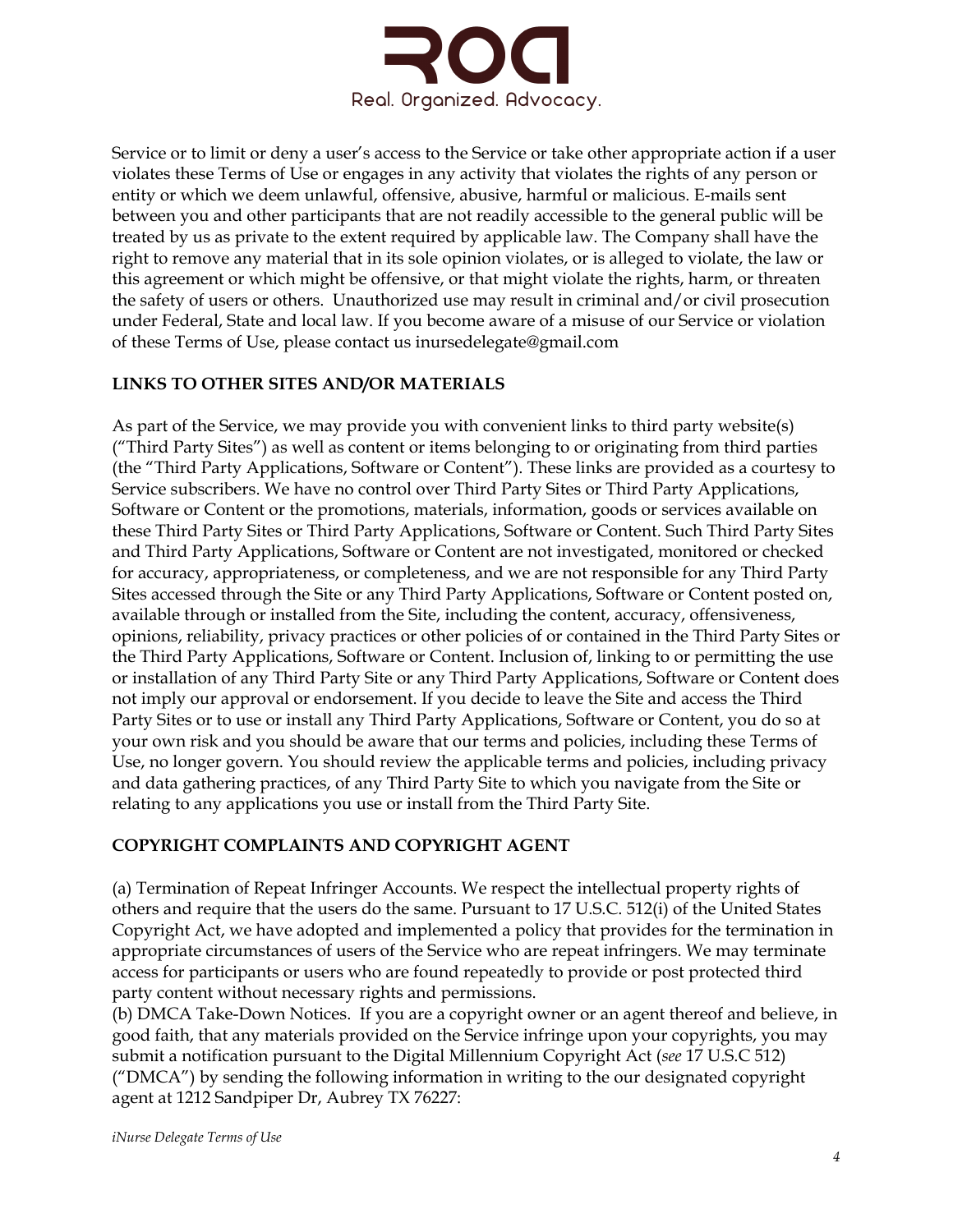

Service or to limit or deny a user's access to the Service or take other appropriate action if a user violates these Terms of Use or engages in any activity that violates the rights of any person or entity or which we deem unlawful, offensive, abusive, harmful or malicious. E-mails sent between you and other participants that are not readily accessible to the general public will be treated by us as private to the extent required by applicable law. The Company shall have the right to remove any material that in its sole opinion violates, or is alleged to violate, the law or this agreement or which might be offensive, or that might violate the rights, harm, or threaten the safety of users or others. Unauthorized use may result in criminal and/or civil prosecution under Federal, State and local law. If you become aware of a misuse of our Service or violation of these Terms of Use, please contact us inursedelegate@gmail.com

#### **LINKS TO OTHER SITES AND/OR MATERIALS**

As part of the Service, we may provide you with convenient links to third party website(s) ("Third Party Sites") as well as content or items belonging to or originating from third parties (the "Third Party Applications, Software or Content"). These links are provided as a courtesy to Service subscribers. We have no control over Third Party Sites or Third Party Applications, Software or Content or the promotions, materials, information, goods or services available on these Third Party Sites or Third Party Applications, Software or Content. Such Third Party Sites and Third Party Applications, Software or Content are not investigated, monitored or checked for accuracy, appropriateness, or completeness, and we are not responsible for any Third Party Sites accessed through the Site or any Third Party Applications, Software or Content posted on, available through or installed from the Site, including the content, accuracy, offensiveness, opinions, reliability, privacy practices or other policies of or contained in the Third Party Sites or the Third Party Applications, Software or Content. Inclusion of, linking to or permitting the use or installation of any Third Party Site or any Third Party Applications, Software or Content does not imply our approval or endorsement. If you decide to leave the Site and access the Third Party Sites or to use or install any Third Party Applications, Software or Content, you do so at your own risk and you should be aware that our terms and policies, including these Terms of Use, no longer govern. You should review the applicable terms and policies, including privacy and data gathering practices, of any Third Party Site to which you navigate from the Site or relating to any applications you use or install from the Third Party Site.

## **COPYRIGHT COMPLAINTS AND COPYRIGHT AGENT**

(a) Termination of Repeat Infringer Accounts. We respect the intellectual property rights of others and require that the users do the same. Pursuant to 17 U.S.C. 512(i) of the United States Copyright Act, we have adopted and implemented a policy that provides for the termination in appropriate circumstances of users of the Service who are repeat infringers. We may terminate access for participants or users who are found repeatedly to provide or post protected third party content without necessary rights and permissions.

(b) DMCA Take-Down Notices. If you are a copyright owner or an agent thereof and believe, in good faith, that any materials provided on the Service infringe upon your copyrights, you may submit a notification pursuant to the Digital Millennium Copyright Act (*see* 17 U.S.C 512) ("DMCA") by sending the following information in writing to the our designated copyright agent at 1212 Sandpiper Dr, Aubrey TX 76227: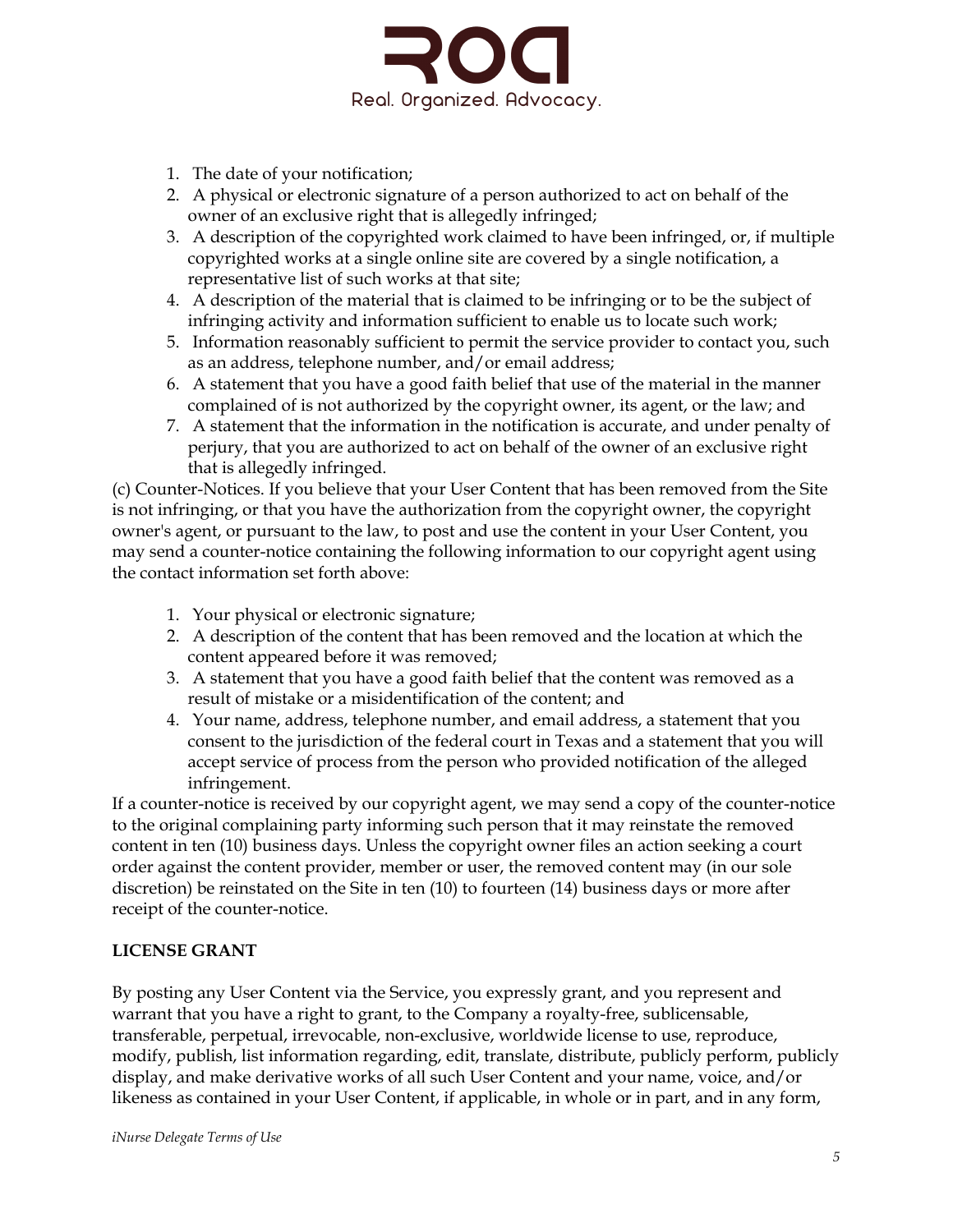

- 1. The date of your notification;
- 2. A physical or electronic signature of a person authorized to act on behalf of the owner of an exclusive right that is allegedly infringed;
- 3. A description of the copyrighted work claimed to have been infringed, or, if multiple copyrighted works at a single online site are covered by a single notification, a representative list of such works at that site;
- 4. A description of the material that is claimed to be infringing or to be the subject of infringing activity and information sufficient to enable us to locate such work;
- 5. Information reasonably sufficient to permit the service provider to contact you, such as an address, telephone number, and/or email address;
- 6. A statement that you have a good faith belief that use of the material in the manner complained of is not authorized by the copyright owner, its agent, or the law; and
- 7. A statement that the information in the notification is accurate, and under penalty of perjury, that you are authorized to act on behalf of the owner of an exclusive right that is allegedly infringed.

(c) Counter-Notices. If you believe that your User Content that has been removed from the Site is not infringing, or that you have the authorization from the copyright owner, the copyright owner's agent, or pursuant to the law, to post and use the content in your User Content, you may send a counter-notice containing the following information to our copyright agent using the contact information set forth above:

- 1. Your physical or electronic signature;
- 2. A description of the content that has been removed and the location at which the content appeared before it was removed;
- 3. A statement that you have a good faith belief that the content was removed as a result of mistake or a misidentification of the content; and
- 4. Your name, address, telephone number, and email address, a statement that you consent to the jurisdiction of the federal court in Texas and a statement that you will accept service of process from the person who provided notification of the alleged infringement.

If a counter-notice is received by our copyright agent, we may send a copy of the counter-notice to the original complaining party informing such person that it may reinstate the removed content in ten (10) business days. Unless the copyright owner files an action seeking a court order against the content provider, member or user, the removed content may (in our sole discretion) be reinstated on the Site in ten (10) to fourteen (14) business days or more after receipt of the counter-notice.

#### **LICENSE GRANT**

By posting any User Content via the Service, you expressly grant, and you represent and warrant that you have a right to grant, to the Company a royalty-free, sublicensable, transferable, perpetual, irrevocable, non-exclusive, worldwide license to use, reproduce, modify, publish, list information regarding, edit, translate, distribute, publicly perform, publicly display, and make derivative works of all such User Content and your name, voice, and/or likeness as contained in your User Content, if applicable, in whole or in part, and in any form,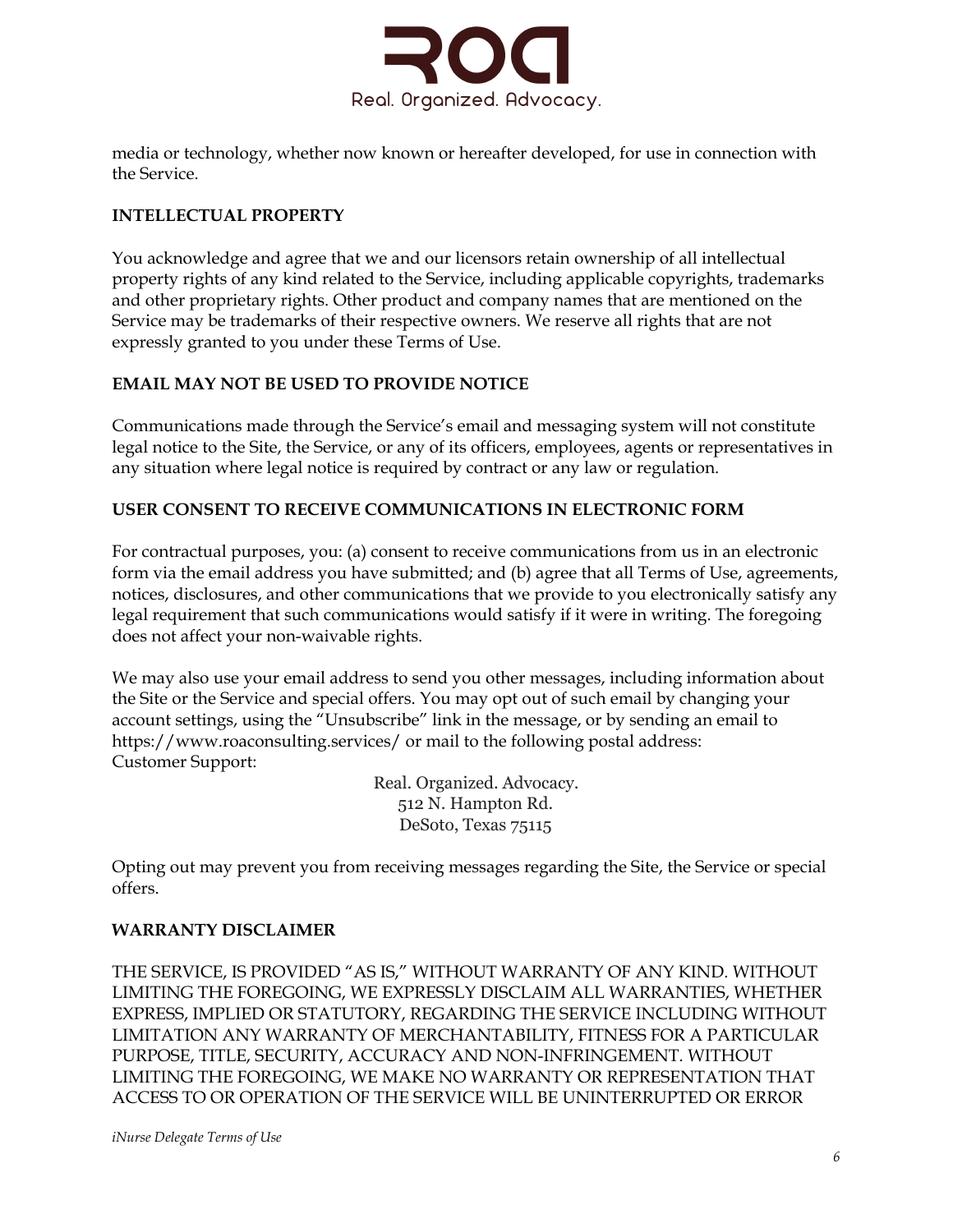

media or technology, whether now known or hereafter developed, for use in connection with the Service.

### **INTELLECTUAL PROPERTY**

You acknowledge and agree that we and our licensors retain ownership of all intellectual property rights of any kind related to the Service, including applicable copyrights, trademarks and other proprietary rights. Other product and company names that are mentioned on the Service may be trademarks of their respective owners. We reserve all rights that are not expressly granted to you under these Terms of Use.

#### **EMAIL MAY NOT BE USED TO PROVIDE NOTICE**

Communications made through the Service's email and messaging system will not constitute legal notice to the Site, the Service, or any of its officers, employees, agents or representatives in any situation where legal notice is required by contract or any law or regulation.

#### **USER CONSENT TO RECEIVE COMMUNICATIONS IN ELECTRONIC FORM**

For contractual purposes, you: (a) consent to receive communications from us in an electronic form via the email address you have submitted; and (b) agree that all Terms of Use, agreements, notices, disclosures, and other communications that we provide to you electronically satisfy any legal requirement that such communications would satisfy if it were in writing. The foregoing does not affect your non-waivable rights.

We may also use your email address to send you other messages, including information about the Site or the Service and special offers. You may opt out of such email by changing your account settings, using the "Unsubscribe" link in the message, or by sending an email to https://www.roaconsulting.services/ or mail to the following postal address: Customer Support:

> Real. Organized. Advocacy. 512 N. Hampton Rd. DeSoto, Texas 75115

Opting out may prevent you from receiving messages regarding the Site, the Service or special offers.

#### **WARRANTY DISCLAIMER**

THE SERVICE, IS PROVIDED "AS IS," WITHOUT WARRANTY OF ANY KIND. WITHOUT LIMITING THE FOREGOING, WE EXPRESSLY DISCLAIM ALL WARRANTIES, WHETHER EXPRESS, IMPLIED OR STATUTORY, REGARDING THE SERVICE INCLUDING WITHOUT LIMITATION ANY WARRANTY OF MERCHANTABILITY, FITNESS FOR A PARTICULAR PURPOSE, TITLE, SECURITY, ACCURACY AND NON-INFRINGEMENT. WITHOUT LIMITING THE FOREGOING, WE MAKE NO WARRANTY OR REPRESENTATION THAT ACCESS TO OR OPERATION OF THE SERVICE WILL BE UNINTERRUPTED OR ERROR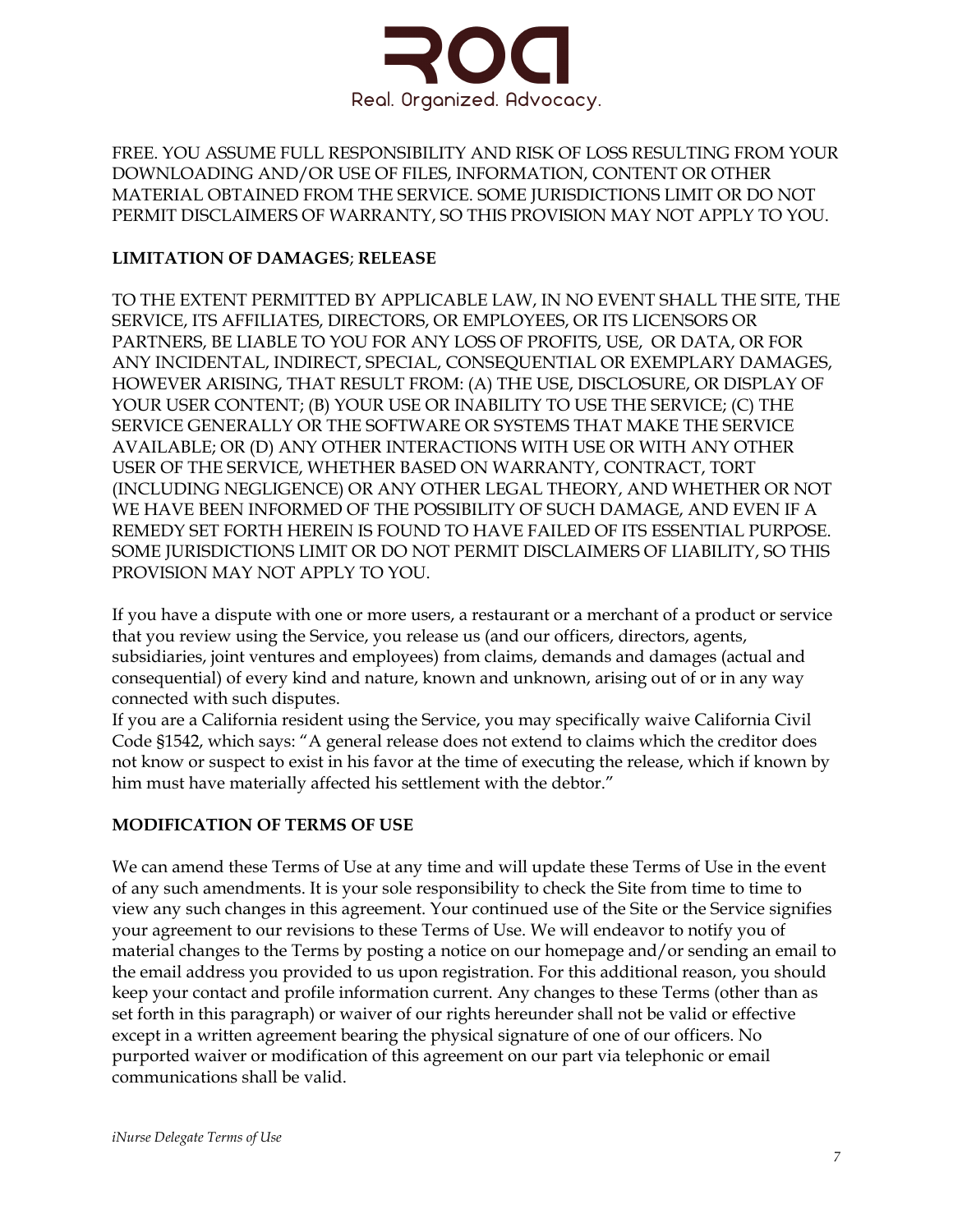

FREE. YOU ASSUME FULL RESPONSIBILITY AND RISK OF LOSS RESULTING FROM YOUR DOWNLOADING AND/OR USE OF FILES, INFORMATION, CONTENT OR OTHER MATERIAL OBTAINED FROM THE SERVICE. SOME JURISDICTIONS LIMIT OR DO NOT PERMIT DISCLAIMERS OF WARRANTY, SO THIS PROVISION MAY NOT APPLY TO YOU.

## **LIMITATION OF DAMAGES**; **RELEASE**

TO THE EXTENT PERMITTED BY APPLICABLE LAW, IN NO EVENT SHALL THE SITE, THE SERVICE, ITS AFFILIATES, DIRECTORS, OR EMPLOYEES, OR ITS LICENSORS OR PARTNERS, BE LIABLE TO YOU FOR ANY LOSS OF PROFITS, USE, OR DATA, OR FOR ANY INCIDENTAL, INDIRECT, SPECIAL, CONSEQUENTIAL OR EXEMPLARY DAMAGES, HOWEVER ARISING, THAT RESULT FROM: (A) THE USE, DISCLOSURE, OR DISPLAY OF YOUR USER CONTENT; (B) YOUR USE OR INABILITY TO USE THE SERVICE; (C) THE SERVICE GENERALLY OR THE SOFTWARE OR SYSTEMS THAT MAKE THE SERVICE AVAILABLE; OR (D) ANY OTHER INTERACTIONS WITH USE OR WITH ANY OTHER USER OF THE SERVICE, WHETHER BASED ON WARRANTY, CONTRACT, TORT (INCLUDING NEGLIGENCE) OR ANY OTHER LEGAL THEORY, AND WHETHER OR NOT WE HAVE BEEN INFORMED OF THE POSSIBILITY OF SUCH DAMAGE, AND EVEN IF A REMEDY SET FORTH HEREIN IS FOUND TO HAVE FAILED OF ITS ESSENTIAL PURPOSE. SOME JURISDICTIONS LIMIT OR DO NOT PERMIT DISCLAIMERS OF LIABILITY, SO THIS PROVISION MAY NOT APPLY TO YOU.

If you have a dispute with one or more users, a restaurant or a merchant of a product or service that you review using the Service, you release us (and our officers, directors, agents, subsidiaries, joint ventures and employees) from claims, demands and damages (actual and consequential) of every kind and nature, known and unknown, arising out of or in any way connected with such disputes.

If you are a California resident using the Service, you may specifically waive California Civil Code §1542, which says: "A general release does not extend to claims which the creditor does not know or suspect to exist in his favor at the time of executing the release, which if known by him must have materially affected his settlement with the debtor."

## **MODIFICATION OF TERMS OF USE**

We can amend these Terms of Use at any time and will update these Terms of Use in the event of any such amendments. It is your sole responsibility to check the Site from time to time to view any such changes in this agreement. Your continued use of the Site or the Service signifies your agreement to our revisions to these Terms of Use. We will endeavor to notify you of material changes to the Terms by posting a notice on our homepage and/or sending an email to the email address you provided to us upon registration. For this additional reason, you should keep your contact and profile information current. Any changes to these Terms (other than as set forth in this paragraph) or waiver of our rights hereunder shall not be valid or effective except in a written agreement bearing the physical signature of one of our officers. No purported waiver or modification of this agreement on our part via telephonic or email communications shall be valid.